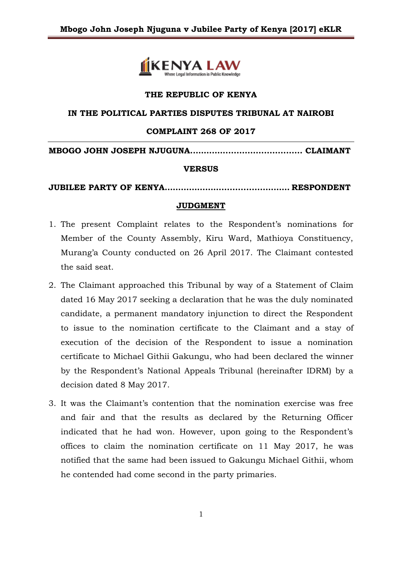

### **THE REPUBLIC OF KENYA**

### **IN THE POLITICAL PARTIES DISPUTES TRIBUNAL AT NAIROBI**

### **COMPLAINT 268 OF 2017**

**MBOGO JOHN JOSEPH NJUGUNA..…….…............................. CLAIMANT**

### **VERSUS**

**JUBILEE PARTY OF KENYA…………………................……… RESPONDENT**

### **JUDGMENT**

- 1. The present Complaint relates to the Respondent's nominations for Member of the County Assembly, Kiru Ward, Mathioya Constituency, Murang'a County conducted on 26 April 2017. The Claimant contested the said seat.
- 2. The Claimant approached this Tribunal by way of a Statement of Claim dated 16 May 2017 seeking a declaration that he was the duly nominated candidate, a permanent mandatory injunction to direct the Respondent to issue to the nomination certificate to the Claimant and a stay of execution of the decision of the Respondent to issue a nomination certificate to Michael Githii Gakungu, who had been declared the winner by the Respondent's National Appeals Tribunal (hereinafter IDRM) by a decision dated 8 May 2017.
- 3. It was the Claimant's contention that the nomination exercise was free and fair and that the results as declared by the Returning Officer indicated that he had won. However, upon going to the Respondent's offices to claim the nomination certificate on 11 May 2017, he was notified that the same had been issued to Gakungu Michael Githii, whom he contended had come second in the party primaries.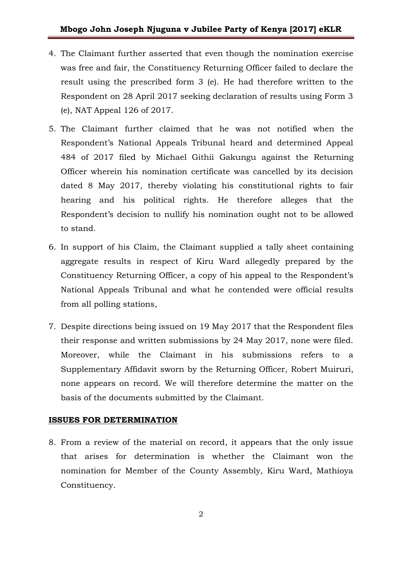- 4. The Claimant further asserted that even though the nomination exercise was free and fair, the Constituency Returning Officer failed to declare the result using the prescribed form 3 (e). He had therefore written to the Respondent on 28 April 2017 seeking declaration of results using Form 3 (e), NAT Appeal 126 of 2017.
- 5. The Claimant further claimed that he was not notified when the Respondent's National Appeals Tribunal heard and determined Appeal 484 of 2017 filed by Michael Githii Gakungu against the Returning Officer wherein his nomination certificate was cancelled by its decision dated 8 May 2017, thereby violating his constitutional rights to fair hearing and his political rights. He therefore alleges that the Respondent's decision to nullify his nomination ought not to be allowed to stand.
- 6. In support of his Claim, the Claimant supplied a tally sheet containing aggregate results in respect of Kiru Ward allegedly prepared by the Constituency Returning Officer, a copy of his appeal to the Respondent's National Appeals Tribunal and what he contended were official results from all polling stations,
- 7. Despite directions being issued on 19 May 2017 that the Respondent files their response and written submissions by 24 May 2017, none were filed. Moreover, while the Claimant in his submissions refers to a Supplementary Affidavit sworn by the Returning Officer, Robert Muiruri, none appears on record. We will therefore determine the matter on the basis of the documents submitted by the Claimant.

# **ISSUES FOR DETERMINATION**

8. From a review of the material on record, it appears that the only issue that arises for determination is whether the Claimant won the nomination for Member of the County Assembly, Kiru Ward, Mathioya Constituency.